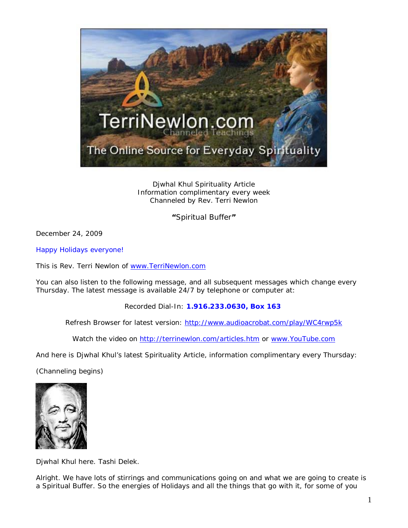

Djwhal Khul Spirituality Article Information complimentary every week Channeled by Rev. Terri Newlon

**"**Spiritual Buffer**"**

December 24, 2009

Happy Holidays everyone!

This is Rev. Terri Newlon of [www.TerriNewlon.com](http://www.terrinewlon.com/)

You can also listen to the following message, and all subsequent messages which change every Thursday. The latest message is available 24/7 by telephone or computer at:

Recorded Dial-In: **1.916.233.0630, Box 163**

Refresh Browser for latest version: <http://www.audioacrobat.com/play/WC4rwp5k>

Watch the video on<http://terrinewlon.com/articles.htm> or [www.YouTube.com](http://www.youtube.com/)

And here is Djwhal Khul's latest Spirituality Article, information complimentary every Thursday:

(Channeling begins)



Djwhal Khul here. Tashi Delek.

Alright. We have lots of stirrings and communications going on and what we are going to create is a Spiritual Buffer. So the energies of Holidays and all the things that go with it, for some of you